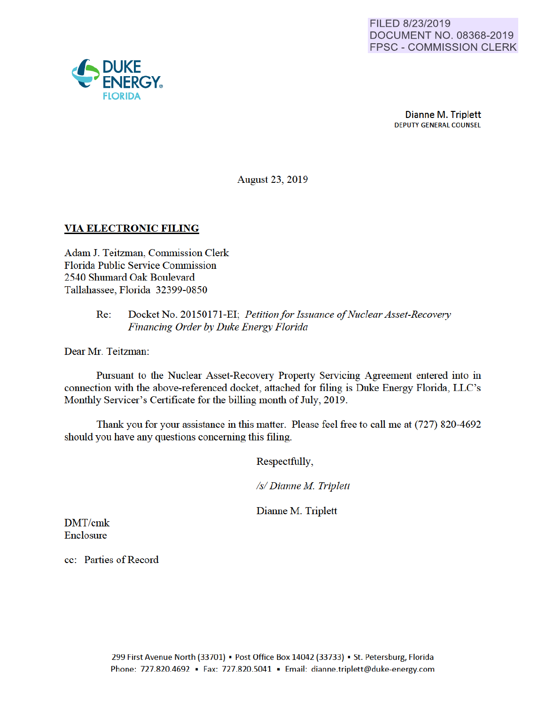

Dianne M. Triplett DEPUTY GENERAL COUNSEL

August 23, 2019

### VIA ELECTRONIC FILING

Adam J. Teitzman, Commission Clerk Florida Public Service Commission 2540 Shumard Oak Boulevard Tallahassee, Florida 32399-0850

### Re: Docket No. 20150171-EI; *Petition for Issuance of Nuclear Asset-Recovery Financing Order by Duke Energy Florida*

Dear Mr. Teitzman:

Pursuant to the Nuclear Asset-Recovery Property Servicing Agreement entered into in connection with the above-referenced docket, attached for filing is Duke Energy Florida, LLC's Monthly Servicer's Certificate for the billing month of July, 2019.

Thank you for your assistance in this matter. Please feel free to call me at (727) 820-4692 should you have any questions conceming this filing.

Respectfully,

*Is/ Dianne M Triplett* 

Dianne M. Triplett

DMT/cmk Enclosure

cc: Parties of Record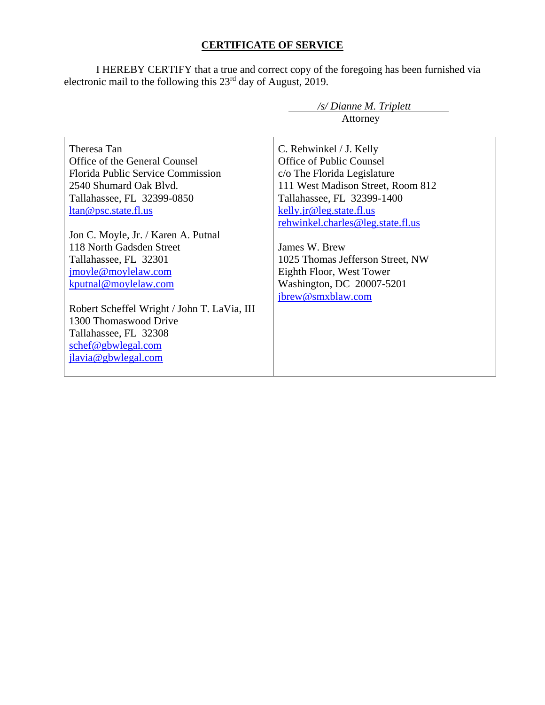# **CERTIFICATE OF SERVICE**

I HEREBY CERTIFY that a true and correct copy of the foregoing has been furnished via electronic mail to the following this  $23<sup>rd</sup>$  day of August, 2019.

|                                             | /s/ Dianne M. Triplett            |
|---------------------------------------------|-----------------------------------|
|                                             | Attorney                          |
|                                             |                                   |
| Theresa Tan                                 | C. Rehwinkel / J. Kelly           |
| Office of the General Counsel               | Office of Public Counsel          |
| <b>Florida Public Service Commission</b>    | c/o The Florida Legislature       |
| 2540 Shumard Oak Blvd.                      | 111 West Madison Street, Room 812 |
| Tallahassee, FL 32399-0850                  | Tallahassee, FL 32399-1400        |
| <u>ltan@psc.state.fl.us</u>                 | kelly.jr@leg.state.fl.us          |
|                                             | rehwinkel.charles@leg.state.fl.us |
| Jon C. Moyle, Jr. / Karen A. Putnal         |                                   |
| 118 North Gadsden Street                    | James W. Brew                     |
| Tallahassee, FL 32301                       | 1025 Thomas Jefferson Street, NW  |
| jmoyle@moylelaw.com                         | Eighth Floor, West Tower          |
| kputnal@moylelaw.com                        | Washington, DC 20007-5201         |
|                                             | jbrew@smxblaw.com                 |
| Robert Scheffel Wright / John T. LaVia, III |                                   |
| 1300 Thomaswood Drive                       |                                   |
| Tallahassee, FL 32308                       |                                   |
| schef@gbwlegal.com                          |                                   |
| jlavia@gbwlegal.com                         |                                   |
|                                             |                                   |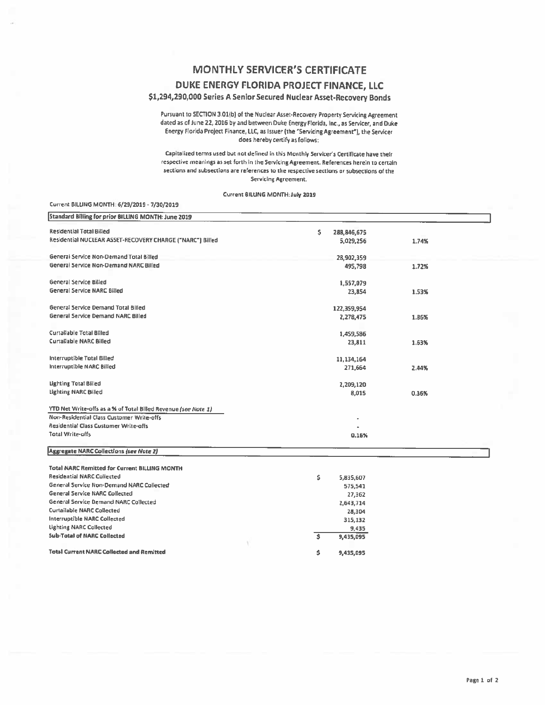## **MONTHLY SERVICER'S CERTIFICATE**

#### DUKE ENERGY FLORIDA PROJECT FINANCE, LLC

#### \$1,294,290,000 Series A Senior Secured Nuclear Asset-Recovery Bonds

Pursuant to SECTION 3.01(b) of the Nuclear Asset-Recovery Property Servicing Agreement dated as of June 22, 2016 by and between Duke Energy Florida, Inc., as Servicer, and Duke Energy Florida Project Finance, LLC, as Issuer (the "Servicing Agreement"), the Servicer does hereby certify as follows:

Capitalized terms used but not defined in this Monthly Servicer's Certificate have their respective meanings as set forth in the Servicing Agreement. References herein to certain sections and subsections are references to the respective sections or subsections of the Servicing Agreement.

Current BILLING MONTH: July 2019

| Current BILLING MONTH: 6/29/2019 - 7/30/2019                   |                  |       |
|----------------------------------------------------------------|------------------|-------|
| Standard Billing for prior BILLING MONTH: June 2019            |                  |       |
| <b>Residential Total Billed</b>                                | s<br>288,846,675 |       |
| Residential NUCLEAR ASSET-RECOVERY CHARGE ("NARC") Billed      | 5,029,256        | 1.74% |
| General Service Non-Demand Total Billed                        | 28,902,359       |       |
| General Service Non-Demand NARC Billed                         | 495,798          | 1.72% |
| General Service Billed                                         | 1,557,079        |       |
| General Service NARC Billed                                    | 23,854           | 1.53% |
| General Service Demand Total Billed                            | 122,359,954      |       |
| General Service Demand NARC Billed                             | 2,278,475        | 1.86% |
| Curtailable Total Billed                                       | 1,459,586        |       |
| <b>Curtailable NARC Billed</b>                                 | 23,811           | 1.63% |
| Interruptible Total Billed                                     | 11,134,164       |       |
| Interruptible NARC Billed                                      | 271,664          | 2.44% |
| <b>Lighting Total Billed</b>                                   | 2,209,120        |       |
| Lighting NARC Billed                                           | 8,015            | 0.36% |
| YTD Net Write-offs as a % of Total Billed Revenue (see Note 1) |                  |       |
| Non-Residential Class Customer Write-offs                      |                  |       |
| Residential Class Customer Write-offs                          |                  |       |
| <b>Total Write-offs</b>                                        | 0.16%            |       |
| <b>Aggregate NARC Collections (see Note 2)</b>                 |                  |       |
| <b>Total NARC Remitted for Current BILLING MONTH</b>           |                  |       |
| <b>Residential NARC Collected</b>                              | Ŝ.<br>5,835,607  |       |
| General Service Non-Demand NARC Collected                      | 575,541          |       |
| <b>General Service NARC Collected</b>                          | 27,362           |       |
| General Service Demand NARC Collected                          | 2,643,714        |       |
| <b>Curtailable NARC Collected</b>                              | 28,304           |       |
| Interruptible NARC Collected                                   | 315,132          |       |
| <b>Lighting NARC Collected</b>                                 | 9,435            |       |
| <b>Sub-Total of NARC Collected</b>                             | Ŝ.<br>9,435,095  |       |
| <b>Total Current NARC Collected and Remitted</b>               | \$<br>9,435,095  |       |